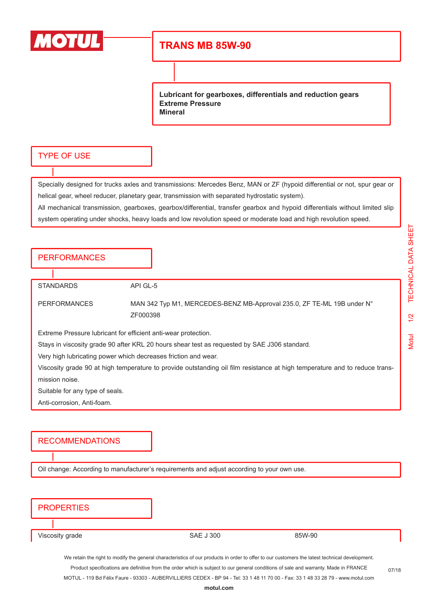

# **TRANS MB 85W-90**

**Lubricant for gearboxes, differentials and reduction gears Extreme Pressure Mineral**

#### TYPE OF USE

Specially designed for trucks axles and transmissions: Mercedes Benz, MAN or ZF (hypoid differential or not, spur gear or helical gear, wheel reducer, planetary gear, transmission with separated hydrostatic system).

All mechanical transmission, gearboxes, gearbox/differential, transfer gearbox and hypoid differentials without limited slip system operating under shocks, heavy loads and low revolution speed or moderate load and high revolution speed.

| <b>PERFORMANCES</b> |
|---------------------|
|---------------------|

STANDARDS API GL-5

PERFORMANCES MAN 342 Typ M1, MERCEDES-BENZ MB-Approval 235.0, ZF TE-ML 19B under N° ZF000398

Extreme Pressure lubricant for efficient anti-wear protection.

Stays in viscosity grade 90 after KRL 20 hours shear test as requested by SAE J306 standard.

Very high lubricating power which decreases friction and wear.

Viscosity grade 90 at high temperature to provide outstanding oil film resistance at high temperature and to reduce transmission noise.

Suitable for any type of seals.

Anti-corrosion, Anti-foam.

#### RECOMMENDATIONS

Oil change: According to manufacturer's requirements and adjust according to your own use.

### **PROPERTIES**

Viscosity grade 85W-90

We retain the right to modify the general characteristics of our products in order to offer to our customers the latest technical development. Product specifications are definitive from the order which is subject to our general conditions of sale and warranty. Made in FRANCE MOTUL - 119 Bd Félix Faure - 93303 - AUBERVILLIERS CEDEX - BP 94 - Tel: 33 1 48 11 70 00 - Fax: 33 1 48 33 28 79 - www.motul.com

**[motul.com](http://www.motul.com)**